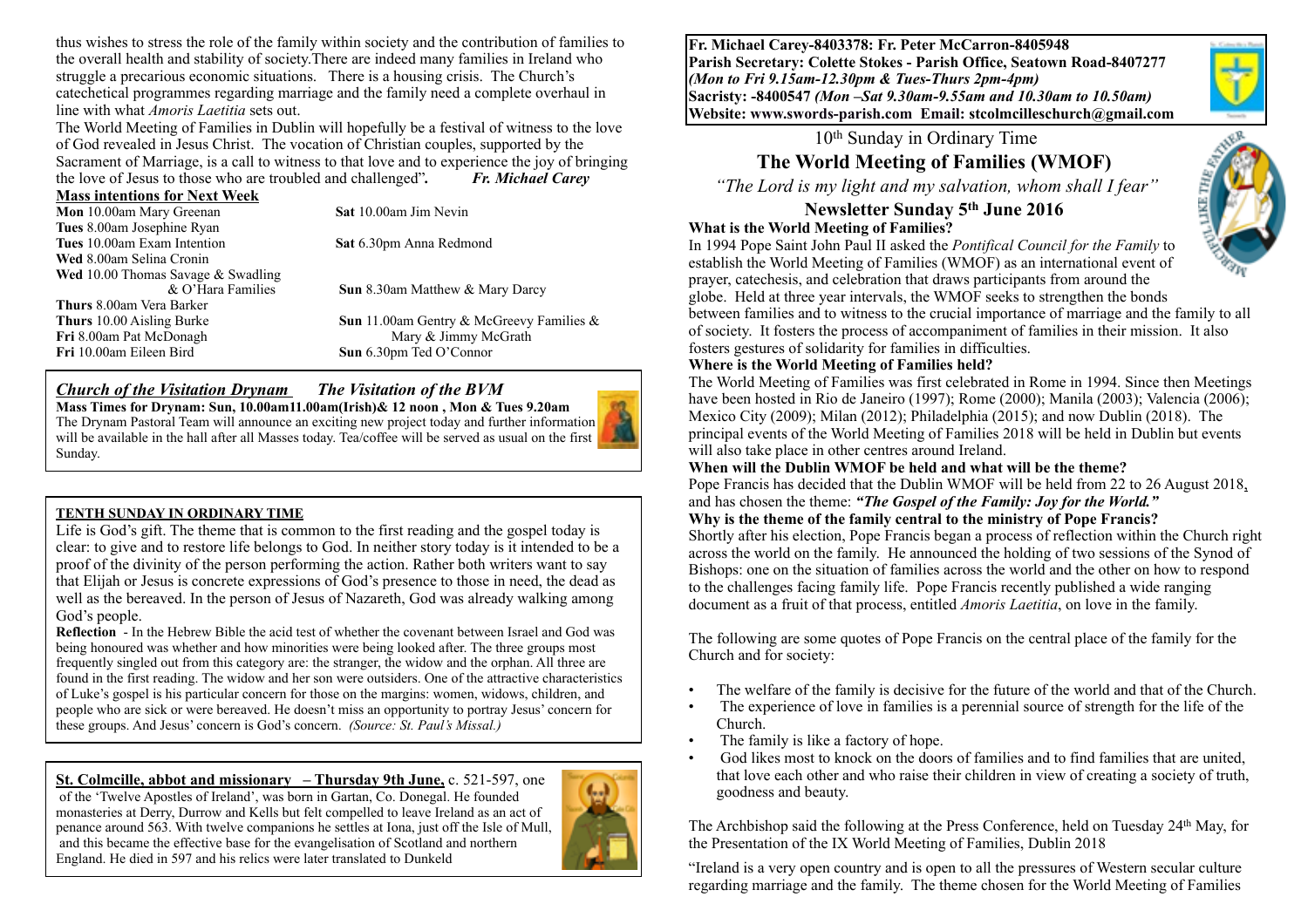thus wishes to stress the role of the family within society and the contribution of families to the overall health and stability of society.There are indeed many families in Ireland who struggle a precarious economic situations. There is a housing crisis. The Church's catechetical programmes regarding marriage and the family need a complete overhaul in line with what *Amoris Laetitia* sets out.

The World Meeting of Families in Dublin will hopefully be a festival of witness to the love of God revealed in Jesus Christ. The vocation of Christian couples, supported by the Sacrament of Marriage, is a call to witness to that love and to experience the joy of bringing the love of Jesus to those who are troubled and challenged"*. Fr. Michael Carey*

#### **Mass intentions for Next Week**

| Mon 10.00am Mary Greenan                     | <b>Sat</b> 10.00am Jim Nevin                    |
|----------------------------------------------|-------------------------------------------------|
| Tues 8.00am Josephine Ryan                   |                                                 |
| Tues 10.00am Exam Intention                  | Sat 6.30pm Anna Redmond                         |
| Wed 8.00am Selina Cronin                     |                                                 |
| <b>Wed</b> 10.00 Thomas Savage $\&$ Swadling |                                                 |
| & O'Hara Families                            | <b>Sun</b> 8.30am Matthew & Mary Darcy          |
| <b>Thurs</b> 8.00am Vera Barker              |                                                 |
| <b>Thurs</b> 10.00 Aisling Burke             | <b>Sun</b> 11.00am Gentry & McGreevy Families & |
| Fri 8.00am Pat McDonagh                      | Mary & Jimmy McGrath                            |
| Fri 10.00am Eileen Bird                      | Sun 6.30pm Ted O'Connor                         |
|                                              |                                                 |

#### *Church of the Visitation Drynam**The Visitation of the BVM*

**Mass Times for Drynam: Sun, 10.00am11.00am(Irish)& 12 noon , Mon & Tues 9.20am**  The Drynam Pastoral Team will announce an exciting new project today and further information will be available in the hall after all Masses today. Tea/coffee will be served as usual on the first Sunday.

#### **TENTH SUNDAY IN ORDINARY TIME**

Life is God's gift. The theme that is common to the first reading and the gospel today is clear: to give and to restore life belongs to God. In neither story today is it intended to be a proof of the divinity of the person performing the action. Rather both writers want to say that Elijah or Jesus is concrete expressions of God's presence to those in need, the dead as well as the bereaved. In the person of Jesus of Nazareth, God was already walking among God's people.

**Reflection** - In the Hebrew Bible the acid test of whether the covenant between Israel and God was being honoured was whether and how minorities were being looked after. The three groups most frequently singled out from this category are: the stranger, the widow and the orphan. All three are found in the first reading. The widow and her son were outsiders. One of the attractive characteristics of Luke's gospel is his particular concern for those on the margins: women, widows, children, and people who are sick or were bereaved. He doesn't miss an opportunity to portray Jesus' concern for these groups. And Jesus' concern is God's concern. *(Source: St. Paul's Missal.)*

**St. Colmcille, abbot and missionary – Thursday 9th June,** c. 521-597, one of the 'Twelve Apostles of Ireland', was born in Gartan, Co. Donegal. He founded monasteries at Derry, Durrow and Kells but felt compelled to leave Ireland as an act of penance around 563. With twelve companions he settles at Iona, just off the Isle of Mull, and this became the effective base for the evangelisation of Scotland and northern England. He died in 597 and his relics were later translated to Dunkeld



**Fr. Michael Carey-8403378: Fr. Peter McCarron-8405948 Parish Secretary: Colette Stokes - Parish Office, Seatown Road-8407277**  *(Mon to Fri 9.15am-12.30pm & Tues-Thurs 2pm-4pm)*  **Sacristy: -8400547** *(Mon –Sat 9.30am-9.55am and 10.30am to 10.50am)* **Website: [www.swords-parish.com Email:](http://www.swords-parish.com%20%20email) stcolmcilleschurch@gmail.com**

# 10th Sunday in Ordinary Time

# **The World Meeting of Families (WMOF)**

 *"The Lord is my light and my salvation, whom shall I fear"* 

# **Newsletter Sunday 5th June 2016**

#### **What is the World Meeting of Families?**



In 1994 Pope Saint John Paul II asked the *Pontifical Council for the Family* to establish the World Meeting of Families (WMOF) as an international event of prayer, catechesis, and celebration that draws participants from around the

globe. Held at three year intervals, the WMOF seeks to strengthen the bonds between families and to witness to the crucial importance of marriage and the family to all of society. It fosters the process of accompaniment of families in their mission. It also fosters gestures of solidarity for families in difficulties.

#### **Where is the World Meeting of Families held?**

The World Meeting of Families was first celebrated in Rome in 1994. Since then Meetings have been hosted in Rio de Janeiro (1997); Rome (2000); Manila (2003); Valencia (2006); Mexico City (2009); Milan (2012); Philadelphia (2015); and now Dublin (2018). The principal events of the World Meeting of Families 2018 will be held in Dublin but events will also take place in other centres around Ireland.

#### **When will the Dublin WMOF be held and what will be the theme?**

Pope Francis has decided that the Dublin WMOF will be held from 22 to 26 August 2018, and has chosen the theme: *"The Gospel of the Family: Joy for the World."* **Why is the theme of the family central to the ministry of Pope Francis?**

Shortly after his election, Pope Francis began a process of reflection within the Church right across the world on the family. He announced the holding of two sessions of the Synod of Bishops: one on the situation of families across the world and the other on how to respond to the challenges facing family life. Pope Francis recently published a wide ranging document as a fruit of that process, entitled *Amoris Laetitia*, on love in the family.

The following are some quotes of Pope Francis on the central place of the family for the Church and for society:

- The welfare of the family is decisive for the future of the world and that of the Church.
- The experience of love in families is a perennial source of strength for the life of the Church.
- The family is like a factory of hope.
- God likes most to knock on the doors of families and to find families that are united, that love each other and who raise their children in view of creating a society of truth, goodness and beauty.

The Archbishop said the following at the Press Conference, held on Tuesday 24th May, for the Presentation of the IX World Meeting of Families, Dublin 2018

"Ireland is a very open country and is open to all the pressures of Western secular culture regarding marriage and the family. The theme chosen for the World Meeting of Families